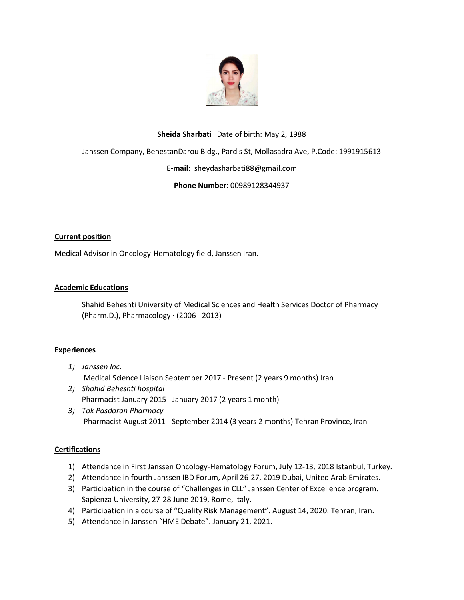

### **Sheida Sharbati** Date of birth: May 2, 1988

Janssen Company, BehestanDarou Bldg., Pardis St, Mollasadra Ave, P.Code: 1991915613

#### **E-mail**: sheydasharbati88@gmail.com

## **Phone Number**: 00989128344937

#### **Current position**

Medical Advisor in Oncology-Hematology field, Janssen Iran.

#### **Academic Educations**

Shahid Beheshti University of Medical Sciences and Health Services Doctor of Pharmacy (Pharm.D.), Pharmacology · (2006 - 2013)

#### **Experiences**

- *1) Janssen Inc.* Medical Science Liaison September 2017 - Present (2 years 9 months) Iran
- *2) Shahid Beheshti hospital*  Pharmacist January 2015 - January 2017 (2 years 1 month)
- *3) Tak Pasdaran Pharmacy* Pharmacist August 2011 - September 2014 (3 years 2 months) Tehran Province, Iran

#### **Certifications**

- 1) Attendance in First Janssen Oncology-Hematology Forum, July 12-13, 2018 Istanbul, Turkey.
- 2) Attendance in fourth Janssen IBD Forum, April 26-27, 2019 Dubai, United Arab Emirates.
- 3) Participation in the course of "Challenges in CLL" Janssen Center of Excellence program. Sapienza University, 27-28 June 2019, Rome, Italy.
- 4) Participation in a course of "Quality Risk Management". August 14, 2020. Tehran, Iran.
- 5) Attendance in Janssen "HME Debate". January 21, 2021.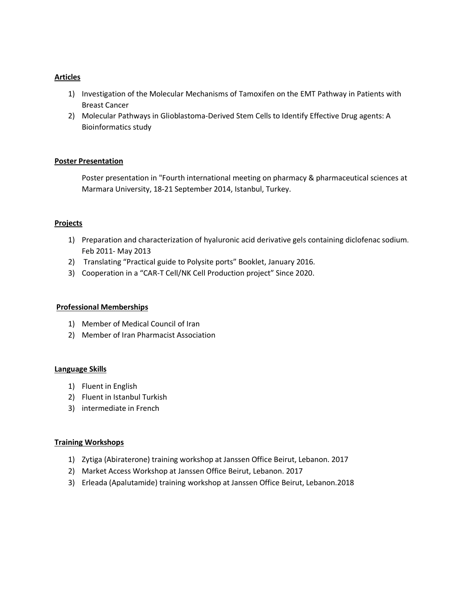#### **Articles**

- 1) Investigation of the Molecular Mechanisms of Tamoxifen on the EMT Pathway in Patients with Breast Cancer
- 2) Molecular Pathways in Glioblastoma-Derived Stem Cells to Identify Effective Drug agents: A Bioinformatics study

## **Poster Presentation**

Poster presentation in "Fourth international meeting on pharmacy & pharmaceutical sciences at Marmara University, 18-21 September 2014, Istanbul, Turkey.

## **Projects**

- 1) Preparation and characterization of hyaluronic acid derivative gels containing diclofenac sodium. Feb 2011- May 2013
- 2) Translating "Practical guide to Polysite ports" Booklet, January 2016.
- 3) Cooperation in a "CAR-T Cell/NK Cell Production project" Since 2020.

#### **Professional Memberships**

- 1) Member of Medical Council of Iran
- 2) Member of Iran Pharmacist Association

#### **Language Skills**

- 1) Fluent in English
- 2) Fluent in Istanbul Turkish
- 3) intermediate in French

#### **Training Workshops**

- 1) Zytiga (Abiraterone) training workshop at Janssen Office Beirut, Lebanon. 2017
- 2) Market Access Workshop at Janssen Office Beirut, Lebanon. 2017
- 3) Erleada (Apalutamide) training workshop at Janssen Office Beirut, Lebanon.2018